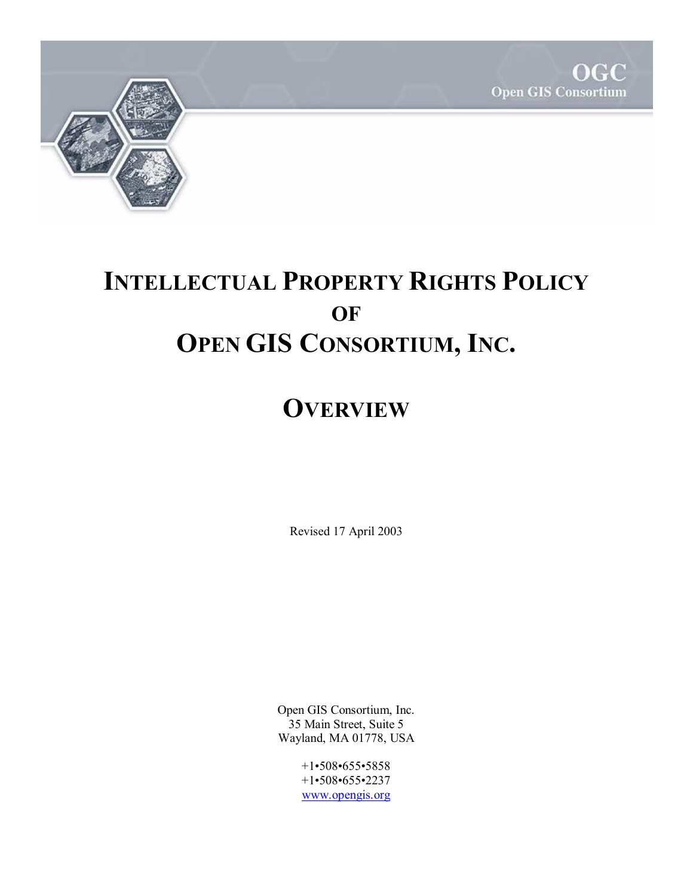



# **INTELLECTUAL PROPERTY RIGHTS POLICY OF OPEN GIS CONSORTIUM, INC.**

# **OVERVIEW**

Revised 17 April 2003

Open GIS Consortium, Inc. 35 Main Street, Suite 5 Wayland, MA 01778, USA

> +1•508•655•5858 +1•508•655•2237 www.opengis.org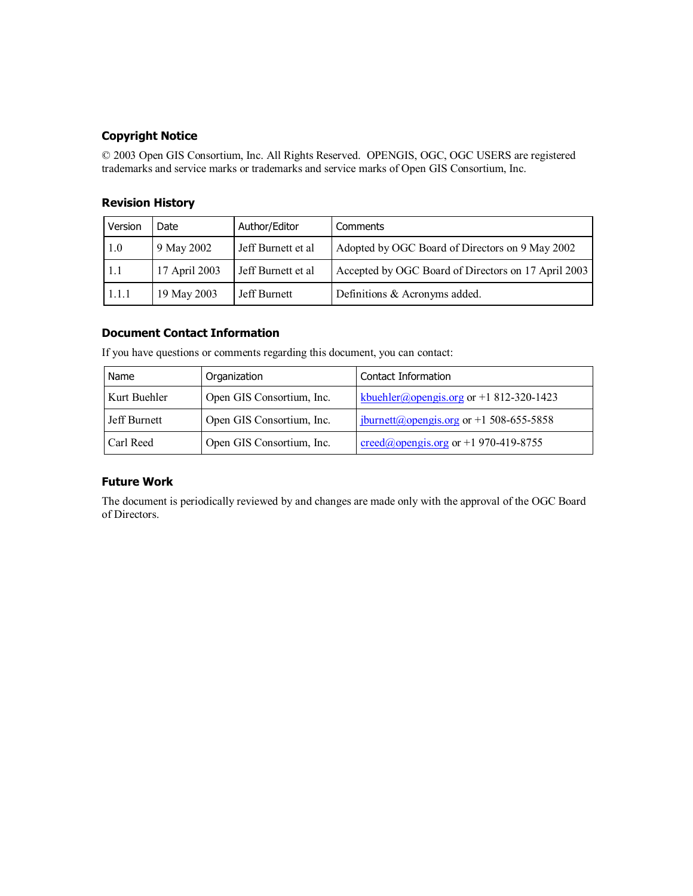## **Copyright Notice**

© 2003 Open GIS Consortium, Inc. All Rights Reserved. OPENGIS, OGC, OGC USERS are registered trademarks and service marks or trademarks and service marks of Open GIS Consortium, Inc.

## **Revision History**

| Version | Date          | Author/Editor      | Comments                                            |
|---------|---------------|--------------------|-----------------------------------------------------|
| 1.0     | 9 May 2002    | Jeff Burnett et al | Adopted by OGC Board of Directors on 9 May 2002     |
| 1.1     | 17 April 2003 | Jeff Burnett et al | Accepted by OGC Board of Directors on 17 April 2003 |
| 1.1.1   | 19 May 2003   | Jeff Burnett       | Definitions & Acronyms added.                       |

### **Document Contact Information**

| Name         | Organization              | Contact Information                                   |
|--------------|---------------------------|-------------------------------------------------------|
| Kurt Buehler | Open GIS Consortium, Inc. | kbuehler@opengis.org or +1 812-320-1423               |
| Jeff Burnett | Open GIS Consortium, Inc. | $\frac{1}{2}$ jburnett@opengis.org or +1 508-655-5858 |
| Carl Reed    | Open GIS Consortium, Inc. | $\text{creed}(a)$ opengis.org or +1 970-419-8755      |

If you have questions or comments regarding this document, you can contact:

#### **Future Work**

The document is periodically reviewed by and changes are made only with the approval of the OGC Board of Directors.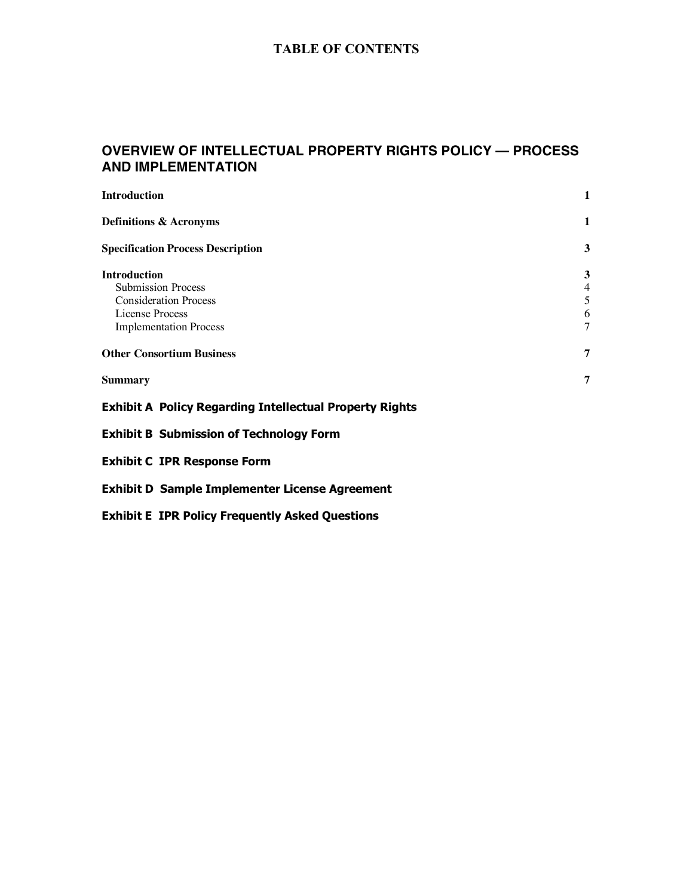# **TABLE OF CONTENTS**

# **OVERVIEW OF INTELLECTUAL PROPERTY RIGHTS POLICY — PROCESS AND IMPLEMENTATION**

| <b>Introduction</b>                                            | 1              |
|----------------------------------------------------------------|----------------|
| <b>Definitions &amp; Acronyms</b>                              | 1              |
| <b>Specification Process Description</b>                       | 3              |
| <b>Introduction</b>                                            | 3              |
| <b>Submission Process</b>                                      | $\overline{4}$ |
| <b>Consideration Process</b>                                   | 5              |
| License Process                                                | 6              |
| <b>Implementation Process</b>                                  | 7              |
| <b>Other Consortium Business</b>                               | 7              |
| <b>Summary</b>                                                 | 7              |
| <b>Exhibit A Policy Regarding Intellectual Property Rights</b> |                |
| <b>Exhibit B Submission of Technology Form</b>                 |                |
| <b>Exhibit C IPR Response Form</b>                             |                |
| <b>Exhibit D Sample Implementer License Agreement</b>          |                |
| <b>Exhibit E IPR Policy Frequently Asked Questions</b>         |                |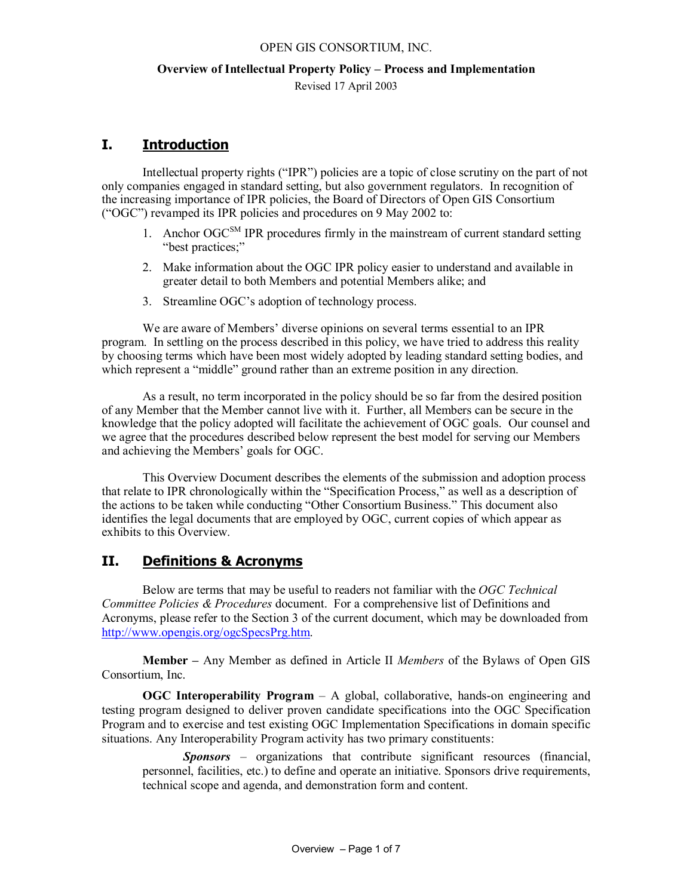# **Overview of Intellectual Property Policy – Process and Implementation**

Revised 17 April 2003

# **I. Introduction**

Intellectual property rights ("IPR") policies are a topic of close scrutiny on the part of not only companies engaged in standard setting, but also government regulators. In recognition of the increasing importance of IPR policies, the Board of Directors of Open GIS Consortium ("OGC") revamped its IPR policies and procedures on 9 May 2002 to:

- 1. Anchor  $OGC^{SM}$  IPR procedures firmly in the mainstream of current standard setting "best practices;"
- 2. Make information about the OGC IPR policy easier to understand and available in greater detail to both Members and potential Members alike; and
- 3. Streamline OGC's adoption of technology process.

We are aware of Members' diverse opinions on several terms essential to an IPR program. In settling on the process described in this policy, we have tried to address this reality by choosing terms which have been most widely adopted by leading standard setting bodies, and which represent a "middle" ground rather than an extreme position in any direction.

As a result, no term incorporated in the policy should be so far from the desired position of any Member that the Member cannot live with it. Further, all Members can be secure in the knowledge that the policy adopted will facilitate the achievement of OGC goals. Our counsel and we agree that the procedures described below represent the best model for serving our Members and achieving the Members' goals for OGC.

This Overview Document describes the elements of the submission and adoption process that relate to IPR chronologically within the "Specification Process," as well as a description of the actions to be taken while conducting "Other Consortium Business." This document also identifies the legal documents that are employed by OGC, current copies of which appear as exhibits to this Overview.

# **II. Definitions & Acronyms**

Below are terms that may be useful to readers not familiar with the *OGC Technical Committee Policies & Procedures* document. For a comprehensive list of Definitions and Acronyms, please refer to the Section 3 of the current document, which may be downloaded from http://www.opengis.org/ogcSpecsPrg.htm.

**Member –** Any Member as defined in Article II *Members* of the Bylaws of Open GIS Consortium, Inc.

**OGC Interoperability Program** – A global, collaborative, hands-on engineering and testing program designed to deliver proven candidate specifications into the OGC Specification Program and to exercise and test existing OGC Implementation Specifications in domain specific situations. Any Interoperability Program activity has two primary constituents:

*Sponsors* – organizations that contribute significant resources (financial, personnel, facilities, etc.) to define and operate an initiative. Sponsors drive requirements, technical scope and agenda, and demonstration form and content.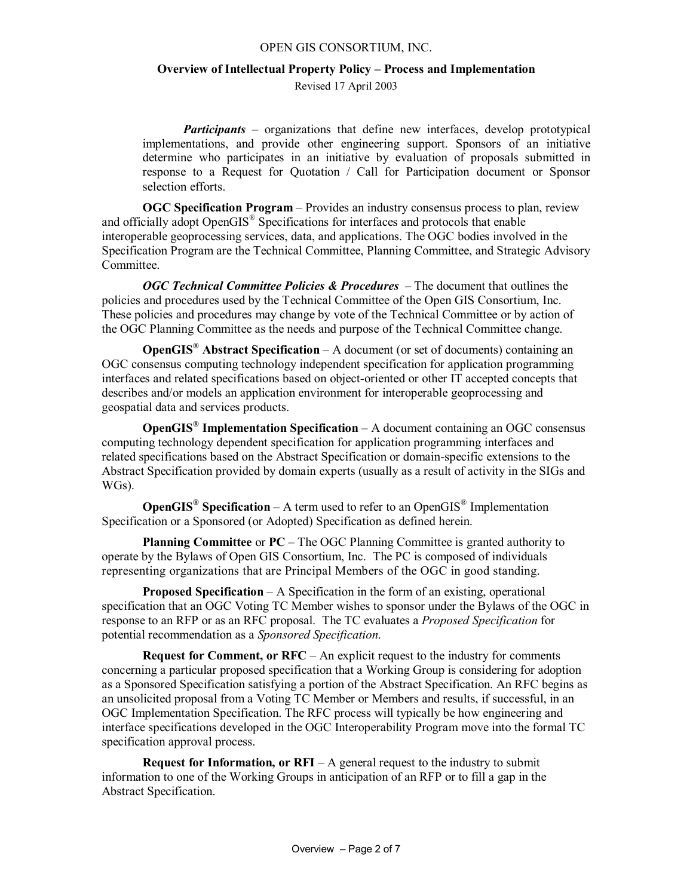### **Overview of Intellectual Property Policy – Process and Implementation**

Revised 17 April 2003

*Participants* – organizations that define new interfaces, develop prototypical implementations, and provide other engineering support. Sponsors of an initiative determine who participates in an initiative by evaluation of proposals submitted in response to a Request for Quotation / Call for Participation document or Sponsor selection efforts.

**OGC Specification Program** – Provides an industry consensus process to plan, review and officially adopt OpenGIS<sup>®</sup> Specifications for interfaces and protocols that enable interoperable geoprocessing services, data, and applications. The OGC bodies involved in the Specification Program are the Technical Committee, Planning Committee, and Strategic Advisory Committee.

*OGC Technical Committee Policies & Procedures* – The document that outlines the policies and procedures used by the Technical Committee of the Open GIS Consortium, Inc. These policies and procedures may change by vote of the Technical Committee or by action of the OGC Planning Committee as the needs and purpose of the Technical Committee change.

**OpenGIS® Abstract Specification** – A document (or set of documents) containing an OGC consensus computing technology independent specification for application programming interfaces and related specifications based on object-oriented or other IT accepted concepts that describes and/or models an application environment for interoperable geoprocessing and geospatial data and services products.

**OpenGIS® Implementation Specification** – A document containing an OGC consensus computing technology dependent specification for application programming interfaces and related specifications based on the Abstract Specification or domain-specific extensions to the Abstract Specification provided by domain experts (usually as a result of activity in the SIGs and WGs).

**OpenGIS<sup>®</sup> Specification** – A term used to refer to an OpenGIS<sup>®</sup> Implementation Specification or a Sponsored (or Adopted) Specification as defined herein.

**Planning Committee** or **PC** – The OGC Planning Committee is granted authority to operate by the Bylaws of Open GIS Consortium, Inc. The PC is composed of individuals representing organizations that are Principal Members of the OGC in good standing.

**Proposed Specification** – A Specification in the form of an existing, operational specification that an OGC Voting TC Member wishes to sponsor under the Bylaws of the OGC in response to an RFP or as an RFC proposal. The TC evaluates a *Proposed Specification* for potential recommendation as a *Sponsored Specification*.

**Request for Comment, or RFC** – An explicit request to the industry for comments concerning a particular proposed specification that a Working Group is considering for adoption as a Sponsored Specification satisfying a portion of the Abstract Specification. An RFC begins as an unsolicited proposal from a Voting TC Member or Members and results, if successful, in an OGC Implementation Specification. The RFC process will typically be how engineering and interface specifications developed in the OGC Interoperability Program move into the formal TC specification approval process.

**Request for Information, or RFI** – A general request to the industry to submit information to one of the Working Groups in anticipation of an RFP or to fill a gap in the Abstract Specification.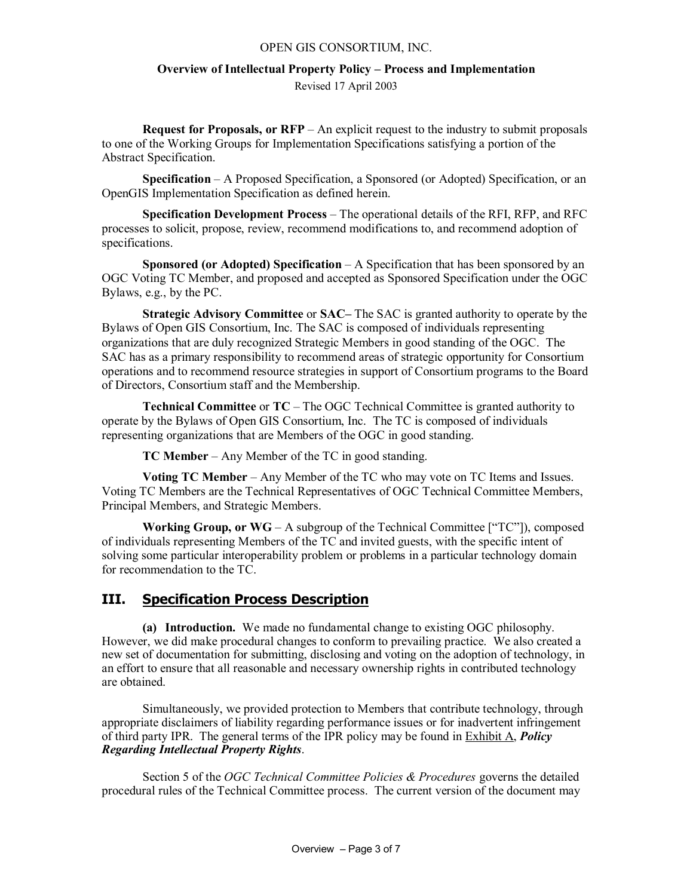## **Overview of Intellectual Property Policy – Process and Implementation**

Revised 17 April 2003

**Request for Proposals, or RFP** – An explicit request to the industry to submit proposals to one of the Working Groups for Implementation Specifications satisfying a portion of the Abstract Specification.

**Specification** – A Proposed Specification, a Sponsored (or Adopted) Specification, or an OpenGIS Implementation Specification as defined herein.

**Specification Development Process** – The operational details of the RFI, RFP, and RFC processes to solicit, propose, review, recommend modifications to, and recommend adoption of specifications.

**Sponsored (or Adopted) Specification** – A Specification that has been sponsored by an OGC Voting TC Member, and proposed and accepted as Sponsored Specification under the OGC Bylaws, e.g., by the PC.

**Strategic Advisory Committee** or **SAC–** The SAC is granted authority to operate by the Bylaws of Open GIS Consortium, Inc. The SAC is composed of individuals representing organizations that are duly recognized Strategic Members in good standing of the OGC. The SAC has as a primary responsibility to recommend areas of strategic opportunity for Consortium operations and to recommend resource strategies in support of Consortium programs to the Board of Directors, Consortium staff and the Membership.

**Technical Committee** or **TC** – The OGC Technical Committee is granted authority to operate by the Bylaws of Open GIS Consortium, Inc. The TC is composed of individuals representing organizations that are Members of the OGC in good standing.

**TC Member** – Any Member of the TC in good standing.

**Voting TC Member** – Any Member of the TC who may vote on TC Items and Issues. Voting TC Members are the Technical Representatives of OGC Technical Committee Members, Principal Members, and Strategic Members.

**Working Group, or WG** – A subgroup of the Technical Committee ["TC"]), composed of individuals representing Members of the TC and invited guests, with the specific intent of solving some particular interoperability problem or problems in a particular technology domain for recommendation to the TC.

## **III. Specification Process Description**

**(a) Introduction.** We made no fundamental change to existing OGC philosophy. However, we did make procedural changes to conform to prevailing practice. We also created a new set of documentation for submitting, disclosing and voting on the adoption of technology, in an effort to ensure that all reasonable and necessary ownership rights in contributed technology are obtained.

Simultaneously, we provided protection to Members that contribute technology, through appropriate disclaimers of liability regarding performance issues or for inadvertent infringement of third party IPR. The general terms of the IPR policy may be found in Exhibit A, *Policy Regarding Intellectual Property Rights*.

Section 5 of the *OGC Technical Committee Policies & Procedures* governs the detailed procedural rules of the Technical Committee process. The current version of the document may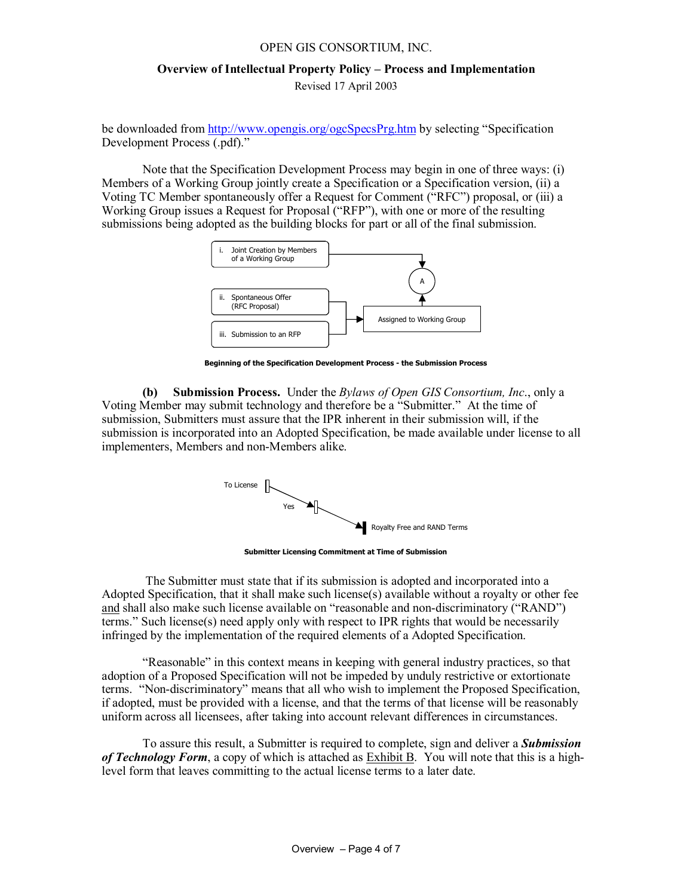## **Overview of Intellectual Property Policy – Process and Implementation**  Revised 17 April 2003

be downloaded from http://www.opengis.org/ogcSpecsPrg.htm by selecting "Specification Development Process (.pdf)."

Note that the Specification Development Process may begin in one of three ways: (i) Members of a Working Group jointly create a Specification or a Specification version, (ii) a Voting TC Member spontaneously offer a Request for Comment ("RFC") proposal, or (iii) a Working Group issues a Request for Proposal ("RFP"), with one or more of the resulting submissions being adopted as the building blocks for part or all of the final submission.



**Beginning of the Specification Development Process - the Submission Process**

**(b) Submission Process.** Under the *Bylaws of Open GIS Consortium, Inc*., only a Voting Member may submit technology and therefore be a "Submitter." At the time of submission, Submitters must assure that the IPR inherent in their submission will, if the submission is incorporated into an Adopted Specification, be made available under license to all implementers, Members and non-Members alike.



**Submitter Licensing Commitment at Time of Submission**

 The Submitter must state that if its submission is adopted and incorporated into a Adopted Specification, that it shall make such license(s) available without a royalty or other fee and shall also make such license available on "reasonable and non-discriminatory ("RAND") terms." Such license(s) need apply only with respect to IPR rights that would be necessarily infringed by the implementation of the required elements of a Adopted Specification.

"Reasonable" in this context means in keeping with general industry practices, so that adoption of a Proposed Specification will not be impeded by unduly restrictive or extortionate terms. "Non-discriminatory" means that all who wish to implement the Proposed Specification, if adopted, must be provided with a license, and that the terms of that license will be reasonably uniform across all licensees, after taking into account relevant differences in circumstances.

To assure this result, a Submitter is required to complete, sign and deliver a *Submission of Technology Form*, a copy of which is attached as Exhibit B. You will note that this is a highlevel form that leaves committing to the actual license terms to a later date.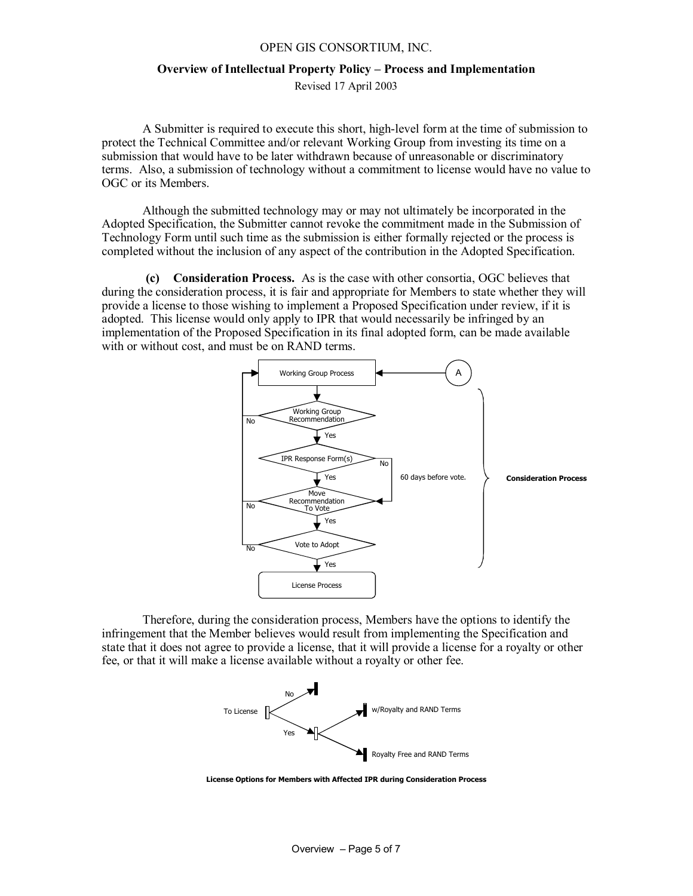#### **Overview of Intellectual Property Policy – Process and Implementation**

Revised 17 April 2003

A Submitter is required to execute this short, high-level form at the time of submission to protect the Technical Committee and/or relevant Working Group from investing its time on a submission that would have to be later withdrawn because of unreasonable or discriminatory terms. Also, a submission of technology without a commitment to license would have no value to OGC or its Members.

Although the submitted technology may or may not ultimately be incorporated in the Adopted Specification, the Submitter cannot revoke the commitment made in the Submission of Technology Form until such time as the submission is either formally rejected or the process is completed without the inclusion of any aspect of the contribution in the Adopted Specification.

 **(c) Consideration Process.** As is the case with other consortia, OGC believes that during the consideration process, it is fair and appropriate for Members to state whether they will provide a license to those wishing to implement a Proposed Specification under review, if it is adopted. This license would only apply to IPR that would necessarily be infringed by an implementation of the Proposed Specification in its final adopted form, can be made available with or without cost, and must be on RAND terms.



Therefore, during the consideration process, Members have the options to identify the infringement that the Member believes would result from implementing the Specification and state that it does not agree to provide a license, that it will provide a license for a royalty or other fee, or that it will make a license available without a royalty or other fee.



**License Options for Members with Affected IPR during Consideration Process**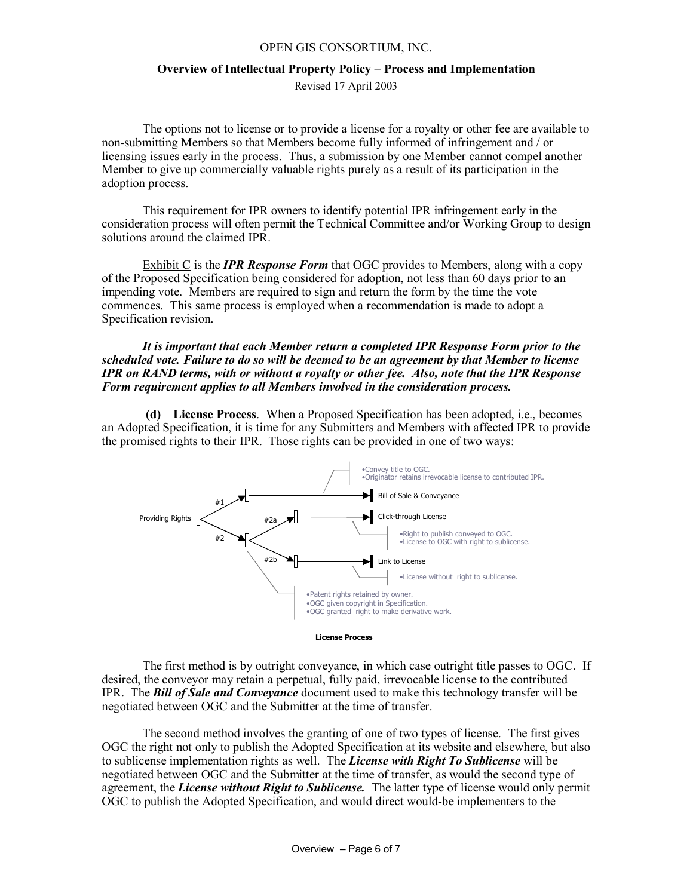### **Overview of Intellectual Property Policy – Process and Implementation**

Revised 17 April 2003

The options not to license or to provide a license for a royalty or other fee are available to non-submitting Members so that Members become fully informed of infringement and / or licensing issues early in the process. Thus, a submission by one Member cannot compel another Member to give up commercially valuable rights purely as a result of its participation in the adoption process.

This requirement for IPR owners to identify potential IPR infringement early in the consideration process will often permit the Technical Committee and/or Working Group to design solutions around the claimed IPR.

Exhibit C is the *IPR Response Form* that OGC provides to Members, along with a copy of the Proposed Specification being considered for adoption, not less than 60 days prior to an impending vote. Members are required to sign and return the form by the time the vote commences. This same process is employed when a recommendation is made to adopt a Specification revision.

#### *It is important that each Member return a completed IPR Response Form prior to the scheduled vote. Failure to do so will be deemed to be an agreement by that Member to license IPR on RAND terms, with or without a royalty or other fee. Also, note that the IPR Response Form requirement applies to all Members involved in the consideration process.*

**(d) License Process**. When a Proposed Specification has been adopted, i.e., becomes an Adopted Specification, it is time for any Submitters and Members with affected IPR to provide the promised rights to their IPR. Those rights can be provided in one of two ways:



The first method is by outright conveyance, in which case outright title passes to OGC. If desired, the conveyor may retain a perpetual, fully paid, irrevocable license to the contributed IPR. The *Bill of Sale and Conveyance* document used to make this technology transfer will be negotiated between OGC and the Submitter at the time of transfer.

The second method involves the granting of one of two types of license. The first gives OGC the right not only to publish the Adopted Specification at its website and elsewhere, but also to sublicense implementation rights as well. The *License with Right To Sublicense* will be negotiated between OGC and the Submitter at the time of transfer, as would the second type of agreement, the *License without Right to Sublicense.* The latter type of license would only permit OGC to publish the Adopted Specification, and would direct would-be implementers to the